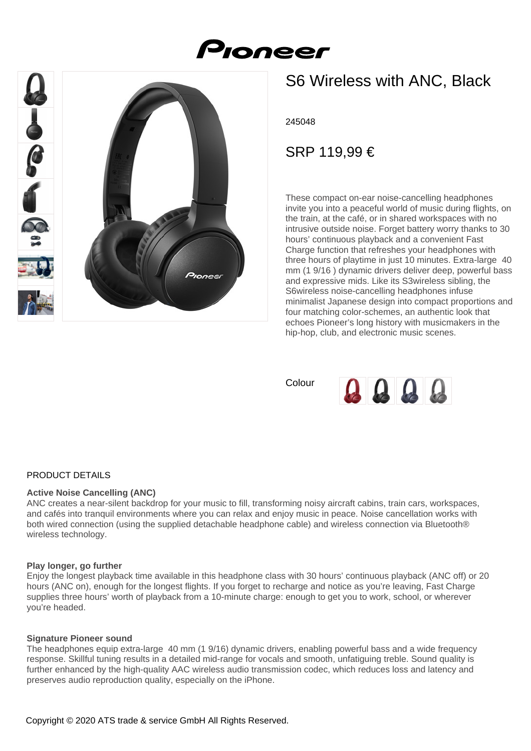



# S6 Wireless with ANC, Black

245048

SRP 119,99 €

These compact on-ear noise-cancelling headphones invite you into a peaceful world of music during flights, on the train, at the café, or in shared workspaces with no intrusive outside noise. Forget battery worry thanks to 30 hours' continuous playback and a convenient Fast Charge function that refreshes your headphones with three hours of playtime in just 10 minutes. Extra-large 40 mm (1 9/16 ) dynamic drivers deliver deep, powerful bass and expressive mids. Like its S3wireless sibling, the S6wireless noise-cancelling headphones infuse minimalist Japanese design into compact proportions and four matching color-schemes, an authentic look that echoes Pioneer's long history with musicmakers in the hip-hop, club, and electronic music scenes.

Colour



# PRODUCT DETAILS

## **Active Noise Cancelling (ANC)**

ANC creates a near-silent backdrop for your music to fill, transforming noisy aircraft cabins, train cars, workspaces, and cafés into tranquil environments where you can relax and enjoy music in peace. Noise cancellation works with both wired connection (using the supplied detachable headphone cable) and wireless connection via Bluetooth® wireless technology.

## **Play longer, go further**

Enjoy the longest playback time available in this headphone class with 30 hours' continuous playback (ANC off) or 20 hours (ANC on), enough for the longest flights. If you forget to recharge and notice as you're leaving, Fast Charge supplies three hours' worth of playback from a 10-minute charge: enough to get you to work, school, or wherever you're headed.

## **Signature Pioneer sound**

The headphones equip extra-large 40 mm (1 9/16) dynamic drivers, enabling powerful bass and a wide frequency response. Skillful tuning results in a detailed mid-range for vocals and smooth, unfatiguing treble. Sound quality is further enhanced by the high-quality AAC wireless audio transmission codec, which reduces loss and latency and preserves audio reproduction quality, especially on the iPhone.